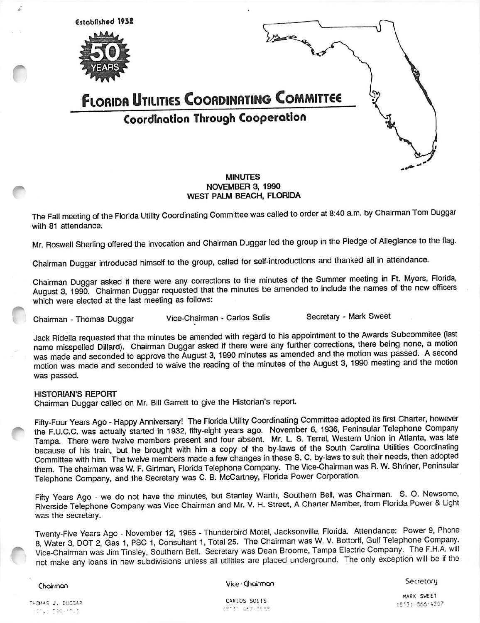

# NOVEMBER 3. 1990 WEST PALM BEACH, FLORIDA

The Fall meeting of the Florida Utility Coordinating Committee was called to order at 8:40 a.m. by Chairman Tom Duggar with 81 attendance.

Mr. Roswell Sherling offered the invocation and Chairman Duggar led the group in the Pledge of Allegiance to the flag.

Chairman Duggar introduced himself to the group, called for self-introductions and thanked all in attendance.

Chairman Duggar asked if there were any corrections to the minutes of the Summer meeting in Ft. Myers, Florida, August 3, 1990. Chairman Duggar requested that the minutes be amended to include the names of the new officers which were elected at the last meeting as follows;

Chairman - Thomas Duggar Vice-Chairman - Carlos Solis Secretary - Mark Sweet

Jack Ridella requested that the minutes be amended with regard to his appointment to the Awards Subcommitee (last name misspelled Diliard). Chairman Duggar asked if there were any further corrections, there being none, a motion was made and seconded to approve the August 3, 1990 minutes as amended and the motion was passed. A second motion was made and seconded to waive the reading of the minutes of the August 3, 1990 meeting and the motion was passed.

#### HISTORIAN'S REPORT

Chairman Duggar called on Mr. Bill Garrett to give the Historian's report.

Fifty-Four Years Ago - Happy Anniversary! The Florida Utility Coordinating Committee adopted its first Charter, however the F.U.C.C. was actually started in 1932, fifty-eight years ago. November 6, 1936, Peninsular Telephone Company Tampa. There were twelve members present and four absent. Mr. L. S. Terrel, Western Union in Atlanta, was late because of his train, but he brought with him a copy of the by-laws of the South Carolina Utilities Coordinating Committee with him. The twelve members made a few changes in these S. C. by-laws to suit their needs, then adopted them. The chairman was W. F. Girtman, Florida Telephone Company. The Vice-Chairman was R. W. Shriner, Peninsular Telephone Company, and the Secretary was C. B. McCartney, Florida Power Corporation.

Fifty Years Ago - we do not have the minutes, but Stanley Warth, Southern Bell, was Chairman. S. O. Newsome, Riverside Telephone Company was Vice-Chairman and Mr. V. H. Street, A Charter Member, from Florida Power & Ught was the secretary.

Twenty-Five Years Ago - November 12, 1965 - Thunderbird Motel, Jacksonville, Florida. Attendance: Power 9, Phone 8, Water 3, DOT 2, Gas 1, PSC 1, Consuitant 1, Total 25. The Chairman was W. V. Bottorff, Gulf Telephone Company. Vice-chairman was Jim Tinsley, Southern Bell. Secretary was Dean Broome, Tampa Electric Company. The F.H.A. will not make any loans in new subdivisions unless all utilities are placed underground. The only exception will be if the

#### Choirman

Vice · Choirmon

**Secretory** 

THOMAS J. DUGGAR 014) (500-1513)

CARLOS SOLIS (813) 462-3588

MARK SWEET :S"3) S66-A207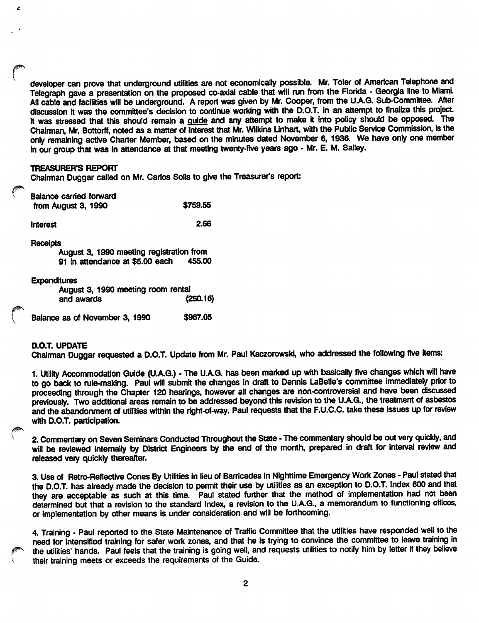developer can prove that underground utilities are not economically possible. Mr. Toler of American Telephone and Telegraph gave a presentation on the proposed co-axial cable that will run from the Florida - Georgia line to Miami. All cable and facilities will be underground. A report was given by Mr. Cooper, from the U.A.G. Sub-Committee. After discussion it was the committee's decision to continue working with the D.O.T. in an attempt to finalize this project. It was stressed that this should remain a guide and any attempt to make it into policy should be opposed. The Chairman. Mr. Bottorff, noted as a matter of Interest that Mr. Wilkins Unhart, with the Public Service Commission, is the only remaining active Charter Member, based on the minutes dated November 6, 1936. We have only one member in our group that was In attendance at that meeting twenty-five years ago - Mr. E. M. Salley.

#### **TREASURER'S REPORT**

À

Chairman Duggar called on Mr. Carlos Soils to give the Treasurer's report:

| <b>Balance carried forward</b><br>from August 3, 1990                                   | \$759.55 |
|-----------------------------------------------------------------------------------------|----------|
| <b>Interest</b>                                                                         | 2.66     |
| Receipts<br>August 3, 1990 meeting registration from<br>91 in attendance at \$5.00 each | 455.00   |
| <b>Expenditures</b><br>August 3, 1990 meeting room rental<br>and awards                 | (250.16) |
| Balance as of November 3, 1990                                                          | \$967.05 |

### D.O.T. UPDATE

Chairman Duggar requested a D.O.T. Update from Mr. Paul Kaczorowski, who addressed the following five items:

1. Utility Accommodation Guide (U.A.G.) - The U.A.G. has been marked up with basically five changes which will have to go back to rule-making. Paul will submit the changes in draft to Dennis LaBelle's committee immediately prior to proceeding through the Chapter 120 hearings, however all changes are non-controversial and have been discussed previously. Two additional areas remain to be addressed beyond this revision to the U.A.G., the treatment of asbestos and the abandonment of utilities within the right-of-way. Paul requests that the F.U.C.C. take these issues up for review with D.O.T. participation.

2. Commentary on Seven Seminars Conducted Throughout the State - The commentary should be out very quickly, and will be reviewed internally by District Engineers by the end of the month, prepared in draft for interval review and released very quickly thereafter.

3. Use of Retro-Reflective Cones By Utilities in lieu of Barricades in Nighttime Emergency Work Zones - Paul stated that the D.O.T. has already made the decision to permit their use by utilities as an exception to D.O.T. Index 600 and that they are acceptable as such at this time. Paul stated further that the method of implementation had not been determined but that a revision to the standard Index, a revision to the U.A.G., a memorandum to functioning offices, or implementation by other means is under consideration and will be forthcoming.

4. Training - Paul reported to the State Maintenance of Traffic Committee that the utilities have responded well to the need for intensified training for safer work zones, and that he is trying to convince the committee to leave training in the utilities' hands. Paul feels that the training is going well, and requests utilities to notify him by letter if they believe their training meets or exceeds the requirements of the Guide.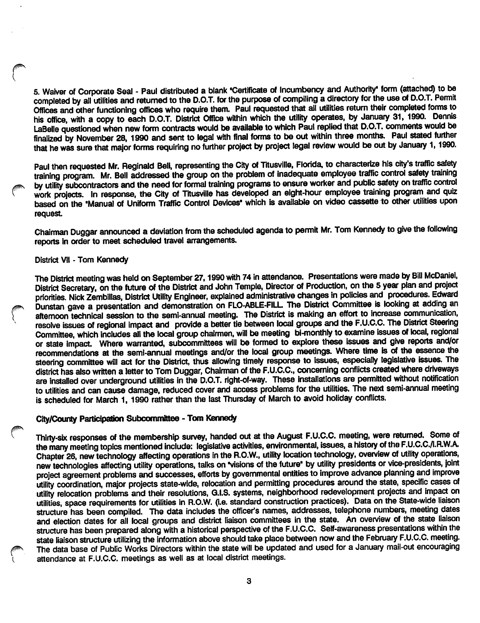5. Waiver of Corporate Seal - Paul distributed a blank \*Certificate of Incumbency and Authority\* form (attached) to be completed by all utilities and returned to the D.O.T. for the purpose of compiling a directory for the use of D.O.T. Permit Offices and other functioning offices who require them. Paul requested that all utilities return their completed forms to his office, with a copy to each D.O.T. District Office within which the utility operates, by January 31, 1990. Dennis LaBelle questioned when new form contracts would be available to which Paul replied that D.O.T. comments would be finalized by November 28, 1990 and sent to legal with final forms to be out within three months. Paul staled further that he was sure that major forms requiring no further project by project legal review would be out by January 1, 1990.

Paul then requested Mr. Reginald Bell, representing the City of Titusville, Florida, to characterize his city's traffic safety training program. Mr. Bell addressed the group on the problem of inadequate employee traffic control safety training by utility subcontractors and the need for formal training programs to ensure worker and public safety on traffic control work projects. In response, the City of Titusville has developed an eight-hour employee training program and quiz based on the "Manual of Uniform Traffic Control Devices' which is available on video cassette to other utilities upon request

Chairman Duggar announced a deviation from the scheduled agenda to permit Mr. Tom Kennedy to give the following reports in order to meet scheduled travel arrangements.

#### District Vll - Tom Kennedy

The District meeting was held on September 27,1990 with 74 in attendance. Presentations were made by Bill McDaniel, District Secretary, on the future of the District and John Temple, Director of Production, on the 5 year plan and project priorities. Nick Zembillas, District Utility Engineer, explained administrative changes in policies and procedures. Edward Dunstan gave a presentation and demonstration on FLO-ABLE-FILL The District Committee is looking at adding an afternoon technical session to the semi-annual meeting. The District is making an effort to increase communication, resolve issues of regional impact and provide a better tie between local groups and the F.U.C.C. The District Steering Committee, which includes all the local group chairmen, will be meeting bi-monthly to examine issues of local, regional or state impact. Where warranted, subcommittees will be formed to explore these issues and give reports and/or recommendations at the semi-annual meetings and/or the local group meetings. Where time is of the essence the steering committee will act for the District, thus allowing timely response to issues, especially legislative issues. The district has also written a letter to Tom Duggar, Chairman of the F.U.C.C., concerning conflicts created where driveways are installed over underground utilities in the D.O.T. right-of-way. These installations are permitted without notification to utilities and can cause damage, reduced cover and access problems for the utilities. The next semi-annual meeting is scheduled for March 1, 1990 rather than the last Thursday of March to avoid holiday conflicts.

# City/County Participation Subcommittee - Tom Kennedy

Thirty-six responses of the membership survey, handed out at the August F.U.C.C. meeting, were retumed. Some of the many meeting topics mentioned include: legislative activities, environmental, issues, a history of the F.U.C.C./I.R.W.A. Chapter 26, new technology affecting operations in the R.O.W., utility location technology, overview of utility operations, new technologies affecting utility operations, talks on visions of the future' by utility presidents or vice-presidents, joint project agreement problems and successes, efforts by governmental entities to improve advance planning and improve utility coordination, major projects state-wide, relocation and permitting procedures around the state, specific cases of utility relocation problems and their resolutions, G.I.S. systems, neighborhood redevelopment projects and impact on utilities, space requirements for utilities in R.O.W. (i.e. standard construction practices). Data on the State-wide liaison structure has been compiled. The data includes the officer's names, addresses, telephone numbers, meeting dates and election dates for all local groups and district liaison committees in the state. An overview of the state liaison structure has been prepared along with a historical perspective of the F.U.C.C. Self-awareness presentations within the state liaison structure utilizing the information above should take place between now and the February F.U.C.C. meeting. The data base of Public Works Directors within the state will be updated and used for a January mail-out encouraging attendance at F.U.C.C. meetings as well as at local district meetings.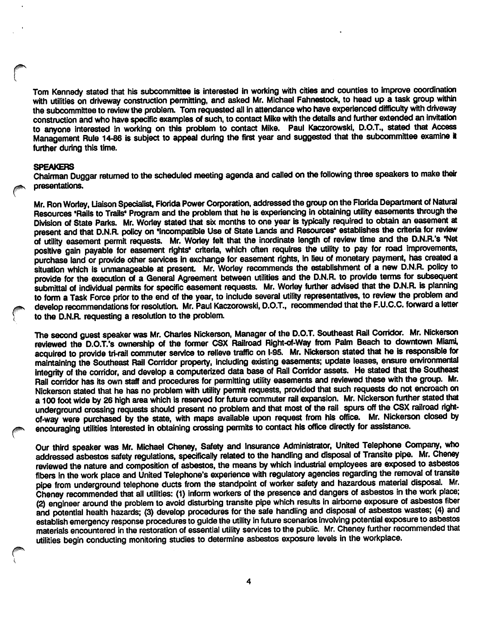Tom Kennedy stated that his subcommittee is interested in working with cities and counties to improve coordination with utilities on driveway construction permitting, and asked Mr. Michael Fahnestock, to head up a task group within the subcommittee to review the problem. Tom requested all in attendance who have experienced difficulty with driveway construction and who have specific examples of such, to contact Mike with the details and further extended an Invitation to anyone interested in working on this problem to contact Mike. Paul Kaczorowski, D.O.T., stated that Access Management Rule 14-86 is subject to appeal during the first year and suggested that the subcommittee examine it further during this time.

#### SPEAKERS

Chairman Duggar returned to the scheduled meeting agenda and called on the following three speakers to make their presentations.

Mr. Ron Worley, Liaison Specialist, Florida Power Corporation, addressed the group on the Florida Department of Natural Resources 'Rails to Trails\* Program and the problem that he is experiencing in obtaining utility easements through the Division of State Parks. Mr. Worley stated that six months to one year is typically required to obtain an easement at present and that D.N.R. policy on 'Incompatible Use of State Lands and Resources' establishes the criteria for review of utility easement permit requests. Mr. Worley felt that the inordinate length of review time and the D.N.R.'s 'Net positive gain payable for easement rights' criteria, which often requires the utility to pay for road improvements, purchase land or provide other services in exchange for easement rights. In lieu of monetary payment, has created a situation which is unmanageable at present. Mr. Worley recommends the establishment of a new D.N.R. policy to provide for the execution of a General Agreement between utilities and the D.N.R. to provide terms for subsequent submittal of individual permits for specific easement requests. Mr. Worley further advised that the D.N.R. is planning to form a Task Force prior to the end of the year, to include several utility representatives, to review the problem and develop recommendations for resolution. Mr. Paul Kaczorowski, D.O.T., recommended that the F.U.C.C. forward a letter to the D.N.R. requesting a resolution to the problem.

The second guest speaker was Mr. Charles Nickerson, Manager of the D.O.T. Southeast Rail Corridor. Mr. Nickerson reviewed the D.O.T.'s ownership of the former CSX Railroad Right-of-Way from Palm Beach to dovmtown Miami, acquired to provide tri-rail commuter service to relieve traffic on 1-95. Mr. Nickerson stated that he is responsible for maintaining the Southeast Rail Corridor property. Including existing easements; update leases, ensure environmental integrity of the corridor, and develop a computerized data base of Rail Corridor assets. He stated that the Southeast Rail corridor has its own staff and procedures for permitting utility easements and reviewed these with the group. Mr. Nickerson stated that he has no problem with utility permit requests, provided that such requests do not encroach on a 100 foot wide by 26 high area which is reserved for future commuter rail expansion. Mr. Nickerson further stated that underground crossing requests should present no problem and that most of the rail spurs off the CSX railroad rightof-way were purchased by the state, with maps available upon request from his office. Mr. Nickerson closed by encouraging utilities interested in obtaining crossing permits to contact his office directly for assistance.

Our third speaker was Mr. Michael Cheney, Safety and Insurance Administrator, United Telephone Company, who addressed asbestos safety regulations, specifically related to the handling and disposal of Transite pipe. Mr. Cheney reviewed the nature and composition of asbestos, the means by which industrial employees are exposed to asbestos fibers in the work place and United Telephone's experience with regulatory agencies regarding the removal of transite pipe from underground telephone ducts from the standpoint of worker safety and hazardous material disposal. Mr. Cheney recommended that ail utilities: (1) inform workers of the presence and dangers of asbestos in the work place; (2) engineer around the problem to avoid disturbing transite pipe which results in airborne exposure of asbestos fiber and potential health hazards; (3) develop procedures for the safe handling and disposal of asbestos wastes; (4) and establish emergency response procedures to guide the utility in future scenarios Involving potential exposure to asbestos materials encountered in the restoration of essential utility services to the public. Mr. Cheney further recommended that utilities begin conducting monitoring studies to determine asbestos exposure levels in the workplace.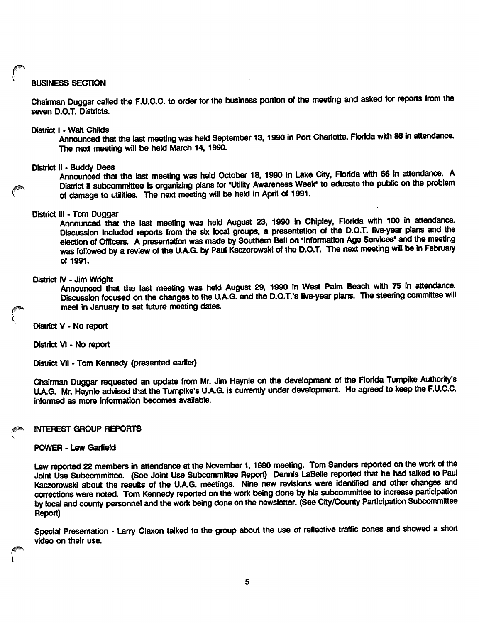#### **BUSINESS SECTION**

Chairman Duggar called the F.U.O.C. to order for the business portion of the meeting and asked for reports from the seven D.O.T. Districts.

District I - Walt Childs<br>Announced that the last meeting was held September 13, 1990 in Port Charlotte, Florida with 86 in attendance. The next meeting will be held March 14, 1990.

District II - Buddy Dees . ^ \* Announced that the last meeting was held October 18, 1990 in Lake City, Florida with 66 In attendance. A District II subcommittee is organizing plans for 'Utility Awareness Week\* to educate the public on the problem of damage to utilities. The next meeting will be held in April of 1991.

#### District III - Tom Duggar

Announced that the last meeting was held August 23, 1990 in Chipley, Florida with 100 in attendance. Discussion Included reports from the six local groups, a presentation of the D.O.T. five-year plans and the election of Officers. A presentation was made by Southern Bell on 'Information Age Senrices' and the meeting was followed by a review of the U.A.G. by Paul Kaczorowski of the D.O.T. The next meeting will be in February of 1991.

#### District IV - Jim Wright

Announced that the last meeting was held August 29, 1990 in West Palm Beach with 75 in attendance. Discussion focused on the changes to the U.A.Q. and the D.O.T.'s five-year plans. The steering committee will meet in January to set future meeting dates.

District V - No report

District VI - No report

District VII - Tom Kennedy (presented earlier)

Chairman Duggar requested an update from Mr. Jim Haynie on the development of the Florida Turnpike Authority's U.A.Q. Mr. Haynie advised that the Tumpike's U.A.Q. is currently under development. He agreed to keep the F.U.C.C. informed as more Information becomes available.

#### INTEREST GROUP REPORTS

#### POWER - Lew Garfield

Lew reported 22 members in attendance at the November 1, 1990 meeting. Tom Sanders reported on the work of the Joint Use Subcommittee. (See Joint Use Subcommittee Report) Dennis LaBelie reported that he had talked to Paul Kaczorowski about the results of the U.A.G. meetings. Nine new revisions were identified and other changes and corrections were noted. Tom Kennedy reported on the work being done by his subcommittee to increase participation by local and county personnel and the work being done on the newsletter. (See City/County Participation Subcommittee Report)

Special Presentation - Larry Claxon talked to the group about the use of reflective traffic cones and showed a short video on their use.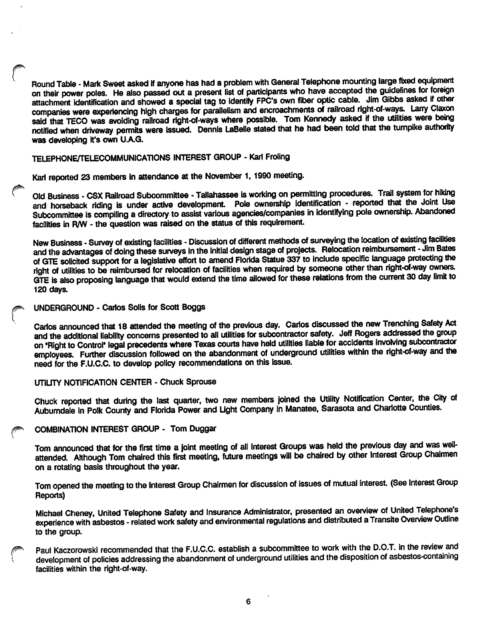Round Table - Mark Sweet asked if anyone has had a problem with General Telephone mounting large fixed equipment on their power poles. He also passed out a present list of participants who have accepted the guidelines for foreign attachment identification and showed a special tag to identify FPC's own fiber optic cable. Jim Gibbs asked if other companies were experiencing high charges for parallelism and encroachments of railroad right-of-ways. Larry Claxon said that TECO was avoiding railroad right-of-ways where possible. Tom Kennedy asked if the utilities were being notified when driveway permits were issued. Dennis LaBelle stated that he had been told that the turnpike authority was developing it's own U.A.G.

# TELEPHONE/TELECOMMUNICATIONS INTEREST GROUP - Karl Froling

Karl reported 23 members in attendance at the November 1, 1990 meeting.

Old Business - CSX Railroad Subcommittee - Tallahassee is working on permitting procedures. Trail system for hiking and horseback riding is under active development. Pole ownership Identification - reported that the Joint Use Subcommittee is compiling a directory to assist various agencies/companies in identifying pole ownership. Abandoned facilities in R/W - the question was raised on the status of this requlremem.

New Business - Survey of existing facilities - Discussion of different methods of surveying the location of existing facilities and the advantages of doing these surveys in the initial design stage of projects. Relocation reimbursement - Jim Bates of GTE solicited support for a legislative effort to amend Florida Statue 337 to include specific language protecting the right of utilities to be reimbursed for relocation of facilities when required by someone other than right-of-way owners. GTE is also proposing language that would extend the time allowed for these relations from the current 30 day limit to 120 days.

#### UNDERGROUND - Carlos Soils for Scott Boggs

Carlos announced that 18 attended the meeting of the previous day. Carlos discussed the new Trenching Safety Act and the additional liability concerns presented to all utilities for subcontractor safety. Jeff Rogers addressed the group on 'Right to Control\* legal precedents where Texas courts have held utilities liable for accidents Involving subcontractor employees. Further discussion followed on the abandonment of underground utilities within the right-of-way and the need for the F.U.C.C. to develop policy recommendations on this issue.

#### UTILITY NCTIFICATICN CENTER - Chuck Sprouse

Chuck reported that during the last quarter, two new members joined the Utility Notification Center, the City of Auburndale in Polk County and Florida Power and Light Company in Manatee, Sarasota and Charlotte Counties.

# COMBINATION INTEREST GROUP - Tom Duggar

Tom announced that for the first time a joint meeting of all Interest Groups was held the previous day and was wellattended. Although Tom chaired this first meeting, future meetings will be chaired by other Interest Group Chairmen on a rotating basis throughout the year.

Tom opened the meeting to the Interest Group Chairmen for discussion of issues of mutual interest. (See Interest Group Reports)

Michael Cheney, United Telephone Safety and Insurance Administrator, presented an overview of United Telephone's experience with asbestos - related work safety and environmental regulations and distributed a Transite Overview Outline to the group.

Paul Kaczorowski recommended that the F.U.C.C. establish a subcommittee to work with the D.O.T. in the review and development of policies addressing the abandonment of underground utilities and the disposition of asbestos-containing facilities within the right-of-way.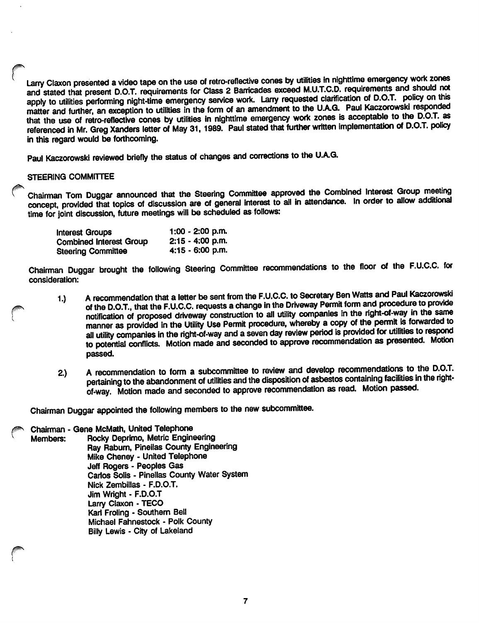Larry Claxon presented a video tape on the use of retro-reflective cones by utilities in nighttime emergency work zones and stated that present D.O.T. requirements for Class 2 Barricades exceed M.U.T.C.D. requirements and should not apply to utilities performing night-time emergency service work. Larry requested clarification of D.O.T. policy on this matter and further, an exception to utilities in the form of an amendment to the U.A.G. Paul Kaczorowski responded that the use of retro-reflective cones by utilities in nighttime emergency work zones is acceptable to the D.O.T. as referenced in Mr. Greg Xanders letter of May 31, 1989. Paul stated that further written implementation of D.O.T. policy in this regard would be forthcoming.

Paul Kaczorowski reviewed briefly the status of changes and corrections to the U.A.G.

### STEERING COMMiTTEE

Chairman Tom Duggar announced that the Steering Committee approved the Combined Interest Group meeting concept, provided that topics of discussion are of general interest to ail in attendance. In order to allow additional time for joint discussion, future meetings will be scheduled as follows:

| <b>Interest Groups</b>         | $1:00 - 2:00$ p.m. |
|--------------------------------|--------------------|
| <b>Combined Interest Group</b> | $2:15 - 4:00$ p.m. |
| <b>Steering Committee</b>      | $4:15 - 6:00$ p.m. |

Chairman Duggar brought the following Steering Committee recommendations to the floor of the F.U.C.C. for consideration:

- 1.) A recommendation that a letter be sent from the F.U.C.C. to Secretary Ben Watts and Paul Kaczorowski of the D.O.T., that the F.U.C.C. requests a change in the Driveway Permit form and procedure to provide notification of proposed driveway construction to all utility companies in the right-of-way in the same manner as provided in the Utility Use Permit procedure, whereby a copy of the permit is forwarded to all utility companies in the right-of-way and a seven day review period is provided for utilities to respond to potential conflicts. Motion made and seconded to approve recommendation as presented. Motion passed.
- 2.) A recommendation to form a subcommittee to review and develop recommendations to the D.O.T. pertaining to the abandonment of utilities and the disposition of asbestos containing facilities in the rightof-way. Motion made and seconded to approve recommendation as read. Motion passed.

Chairman Duggar appointed the following members to the new subcommittee.

Chairman • Gene McMath, United Telephone Rocky Deprimo, Metric Engineering Ray Rabum, Pineiias County Engineering Mike Cheney - United Telephone Jeff Rogers - Peoples Gas Carlos Solis - Pinellas County Water System Nick Zembiilas - F.D.O.T. Jim Wright - F.D.O.T Larry Claxon - TECO Karl Froling - Southern Bell Michael Fahnestock - Polk County Billy Lewis - City of Lakeland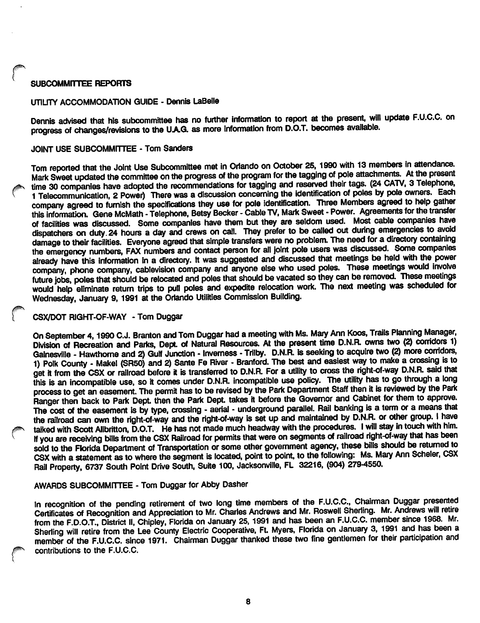# SUBCOMMITTEE REPORTS

#### UTILITY ACCOMMODATION GUIDE - Dennis LaBelle

Dennis advised that his subcommittee has no further information to report at the present, will update F.U.C.C. on progress of changes/revisions to the UAG. as more Information from D.O.T. becomes available.

#### JOINT USE SUBCOMMITTEE • Tom Sanders

Tom reported that the Joint Use Subcommittee met in Orlando on October 25, 1990 with 13 members In attendance. Mark Sweet updated the committee on the progress of the program for the tagging of pole attachments. At the present time 30 companies have adopted the recommendations for tagging and reserved their tags. (24 CATV, 3 Telephone, 1 Telecommunication, 2 Power) There was a discussion concerning the identification of poles by pole owners. Each company agreed to furnish the specifications they use for pole identification. Three Members agreed to help gather this information. Gene McMath - Telephone, Betsy Becker - Cable TV, Mark Sweet - Power. Agreements for the transfer of facilities was discussed. Some companies have them but they are seldom used. Most cable companies have dispatchers on duty. 24 hours a day and crews on call. They prefer to be called out during emergencies to avoid damage to their facilities. Everyone agreed that simple transfers were no problem. The need for a directory containing the emergency numbers, FAX numbers and contact person for all joint pole users was discussed. Some companies already have this Information in a directory. It was suggested and discussed that meetings be held with the power company, phone company, cablevision company and anyone else who used poles. These meetings would involve future jobs, poles that should be relocated and poles that should be vacated so they can be removed. These meetings would help eliminate return trips to puti poles and expedite relocation work. The next meeting was scheduled for Wednesday, January 9, 1991 at the Orlando Utilities Commission Building.

# CSX/DOT RIGHT-OF-WAY - Tom Duggar

On September 4,1990 C.J. Branton and Tom Duggar had a meeting with Ms. Mary Ann Koos, Trails Planning Meager, Division of Recreation and Parks, Dept. of Natural Resources. At the present time D.N.R. owns two (2) corridors 1) Gainesville - Hawthorne and 2) Gulf Junction - Invemess - Trilby. D.N.R. is seeking to acquire two (2) more corridors, 1) Polk County - Makel (SR50) and 2) Sante Fe River - Branford. The best and easiest way to make a crossing is to get it from the CSX or railroad before it is transferred to D.N.R. For a utility to cross the right-of-way D.N.R. said that this is an incompatible use, so it comes under D.N.R. incompatible use policy. The utility has to go through a long process to get an easement. The permit has to be revised by the Park Department Staff then it is reviewed by the Park Ranger then back to Park Dept. then the Park Dept. takes it before the Governor and Cabinet for them to approve. The cost of the easement is by type, crossing - aerial - underground parallel. Rail banking is a term or a means that the railroad can own the right-of-way and the right-of-way is set up and maintained by D.N.R. or other group. I have talked with Scott Allbritton, D.O.T. He has not made much headway with the procedures. I will stay in touch with him. If you are receiving bills from the CSX Railroad for permits that were on segments of railroad right-of-way that has been sold to the Florida Department of Transportation or some other government agency, these bills should be returned to CSX with a statement as to where the segment is located, point to point, to the following: Ms. Mary Ann Scheler, CSX Rail Property, 6737 South Point Drive South, Suite 100, Jacksonville, FL 32216, (904) 279-4550.

# AWARDS SUBCOMMITTEE - Tom Duggar for Abby Dasher

In recognition of the pending retirement of two long time members of the F.U.C.C., Chairman Duggar presented Certificates df Recognition and Appreciation to Mr. Charles Andrews and Mr. Rosweli Sheritng. Mr. Andrews will retire from the F.D.O.T., District II, Chipley, Florida on January 25,1991 and has been an F.U.C.C. member since 1968. Mr. Sherling will retire from the Lee County Electric Cooperative, Ft. Myers, Florida on January 3, 1991 and has been a member of the F.U.C.C. since 1971. Chairman Duggar thanked these two fine gentlemen for their participation and contributions to the F.U.C.C.